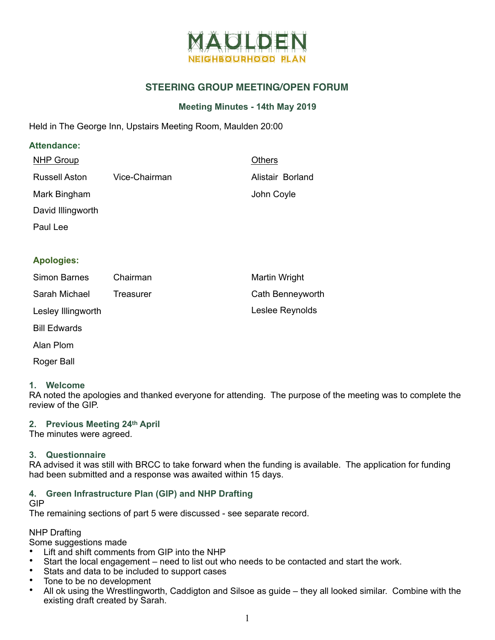

# **STEERING GROUP MEETING/OPEN FORUM**

## **Meeting Minutes - 14th May 2019**

Held in The George Inn, Upstairs Meeting Room, Maulden 20:00

### **Attendance:**

| <b>NHP Group</b>     |               | <b>Others</b>    |
|----------------------|---------------|------------------|
| <b>Russell Aston</b> | Vice-Chairman | Alistair Borland |
| Mark Bingham         |               | John Coyle       |
| David Illingworth    |               |                  |
| Paul Lee             |               |                  |
|                      |               |                  |

## **Apologies:**

| Simon Barnes       | Chairman  | Martin Wright    |
|--------------------|-----------|------------------|
| Sarah Michael      | Treasurer | Cath Benneyworth |
| Lesley Illingworth |           | Leslee Reynolds  |

- Bill Edwards
- Alan Plom
- Roger Ball

#### **1. Welcome**

RA noted the apologies and thanked everyone for attending. The purpose of the meeting was to complete the review of the GIP.

#### **2. Previous Meeting 24th April**

The minutes were agreed.

#### **3. Questionnaire**

RA advised it was still with BRCC to take forward when the funding is available. The application for funding had been submitted and a response was awaited within 15 days.

# **4. Green Infrastructure Plan (GIP) and NHP Drafting**

# GIP

The remaining sections of part 5 were discussed - see separate record.

# NHP Drafting

Some suggestions made

- Lift and shift comments from GIP into the NHP
- Start the local engagement need to list out who needs to be contacted and start the work.<br>• State and data to be included to support cases
- Stats and data to be included to support cases
- Tone to be no development<br>• All ok using the Wrestlingway
- All ok using the Wrestlingworth, Caddigton and Silsoe as guide they all looked similar. Combine with the existing draft created by Sarah.